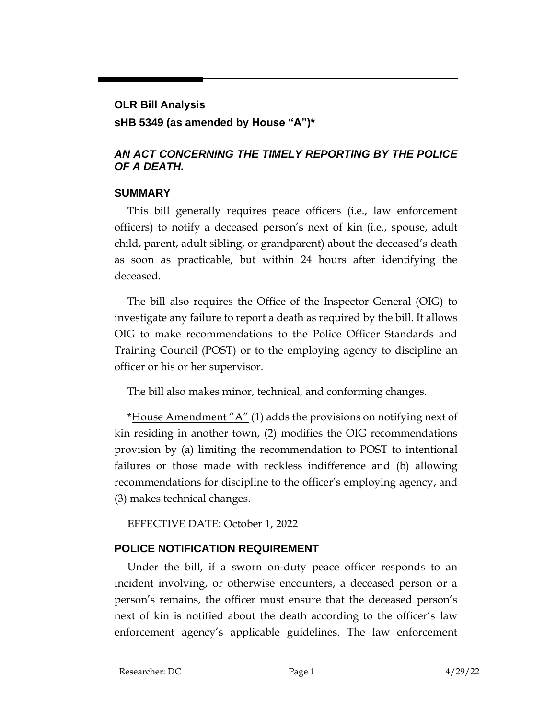# **OLR Bill Analysis**

## **sHB 5349 (as amended by House "A")\***

## *AN ACT CONCERNING THE TIMELY REPORTING BY THE POLICE OF A DEATH.*

## **SUMMARY**

This bill generally requires peace officers (i.e., law enforcement officers) to notify a deceased person's next of kin (i.e., spouse, adult child, parent, adult sibling, or grandparent) about the deceased's death as soon as practicable, but within 24 hours after identifying the deceased.

The bill also requires the Office of the Inspector General (OIG) to investigate any failure to report a death as required by the bill. It allows OIG to make recommendations to the Police Officer Standards and Training Council (POST) or to the employing agency to discipline an officer or his or her supervisor.

The bill also makes minor, technical, and conforming changes.

\*House Amendment " $A$ " (1) adds the provisions on notifying next of kin residing in another town, (2) modifies the OIG recommendations provision by (a) limiting the recommendation to POST to intentional failures or those made with reckless indifference and (b) allowing recommendations for discipline to the officer's employing agency, and (3) makes technical changes.

EFFECTIVE DATE: October 1, 2022

# **POLICE NOTIFICATION REQUIREMENT**

Under the bill, if a sworn on-duty peace officer responds to an incident involving, or otherwise encounters, a deceased person or a person's remains, the officer must ensure that the deceased person's next of kin is notified about the death according to the officer's law enforcement agency's applicable guidelines. The law enforcement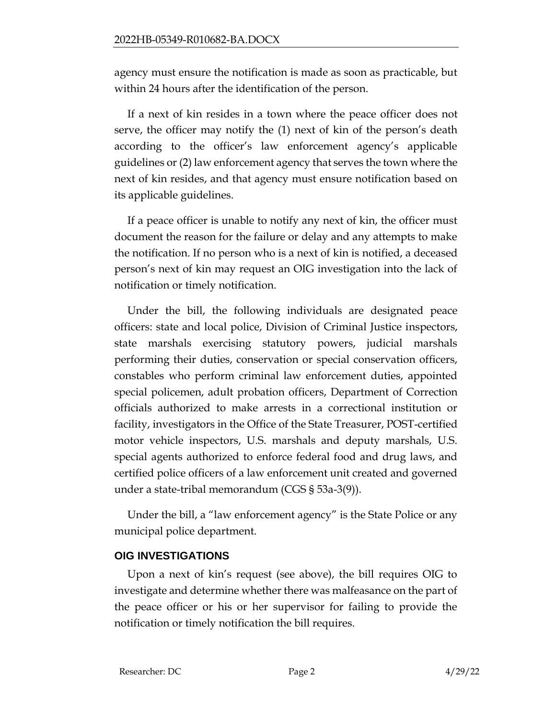agency must ensure the notification is made as soon as practicable, but within 24 hours after the identification of the person.

If a next of kin resides in a town where the peace officer does not serve, the officer may notify the (1) next of kin of the person's death according to the officer's law enforcement agency's applicable guidelines or (2) law enforcement agency that serves the town where the next of kin resides, and that agency must ensure notification based on its applicable guidelines.

If a peace officer is unable to notify any next of kin, the officer must document the reason for the failure or delay and any attempts to make the notification. If no person who is a next of kin is notified, a deceased person's next of kin may request an OIG investigation into the lack of notification or timely notification.

Under the bill, the following individuals are designated peace officers: state and local police, Division of Criminal Justice inspectors, state marshals exercising statutory powers, judicial marshals performing their duties, conservation or special conservation officers, constables who perform criminal law enforcement duties, appointed special policemen, adult probation officers, Department of Correction officials authorized to make arrests in a correctional institution or facility, investigators in the Office of the State Treasurer, POST-certified motor vehicle inspectors, U.S. marshals and deputy marshals, U.S. special agents authorized to enforce federal food and drug laws, and certified police officers of a law enforcement unit created and governed under a state-tribal memorandum (CGS § 53a-3(9)).

Under the bill, a "law enforcement agency" is the State Police or any municipal police department.

## **OIG INVESTIGATIONS**

Upon a next of kin's request (see above), the bill requires OIG to investigate and determine whether there was malfeasance on the part of the peace officer or his or her supervisor for failing to provide the notification or timely notification the bill requires.